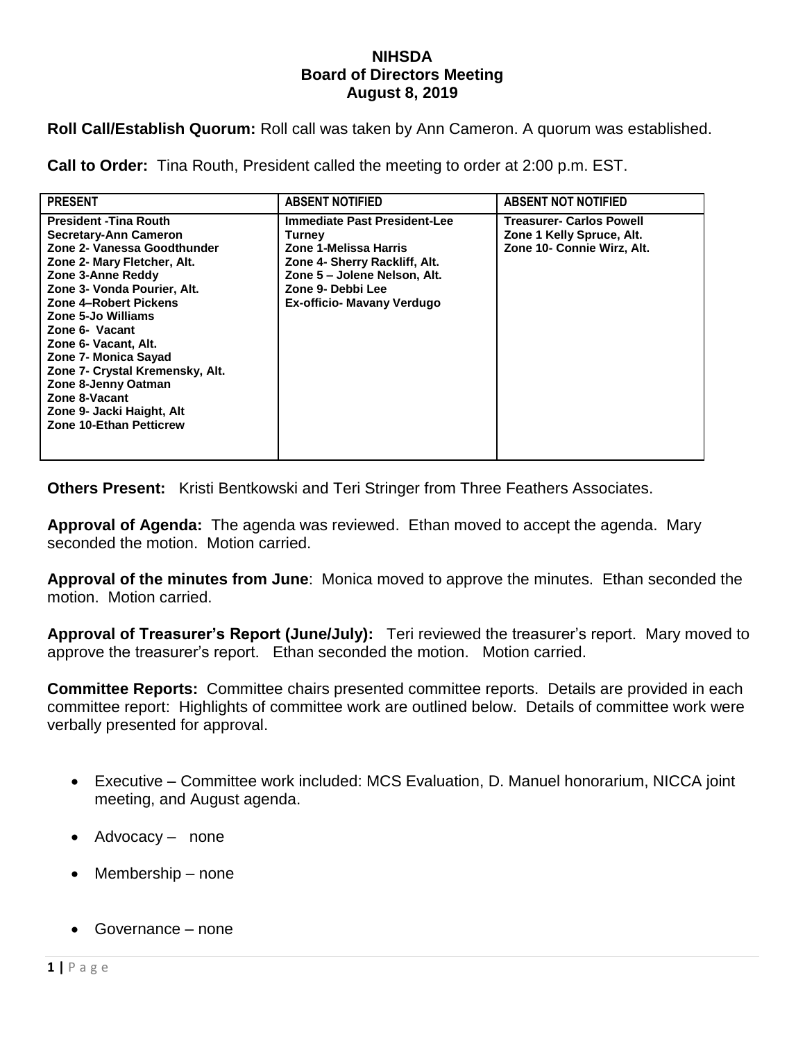## **NIHSDA Board of Directors Meeting August 8, 2019**

**Roll Call/Establish Quorum:** Roll call was taken by Ann Cameron. A quorum was established.

**Call to Order:** Tina Routh, President called the meeting to order at 2:00 p.m. EST.

| <b>PRESENT</b>                                                                                                                                                                                                                                                                                                                                                                                                                      | <b>ABSENT NOTIFIED</b>                                                                                                                                                                     | <b>ABSENT NOT NOTIFIED</b>                                                                 |
|-------------------------------------------------------------------------------------------------------------------------------------------------------------------------------------------------------------------------------------------------------------------------------------------------------------------------------------------------------------------------------------------------------------------------------------|--------------------------------------------------------------------------------------------------------------------------------------------------------------------------------------------|--------------------------------------------------------------------------------------------|
| <b>President - Tina Routh</b><br>Secretary-Ann Cameron<br>Zone 2- Vanessa Goodthunder<br>Zone 2- Mary Fletcher, Alt.<br>Zone 3-Anne Reddy<br>Zone 3- Vonda Pourier, Alt.<br>Zone 4-Robert Pickens<br>Zone 5-Jo Williams<br>Zone 6- Vacant<br>Zone 6- Vacant, Alt.<br>Zone 7- Monica Sayad<br>Zone 7- Crystal Kremensky, Alt.<br>Zone 8-Jenny Oatman<br>Zone 8-Vacant<br>Zone 9- Jacki Haight, Alt<br><b>Zone 10-Ethan Petticrew</b> | <b>Immediate Past President-Lee</b><br>Turney<br>Zone 1-Melissa Harris<br>Zone 4- Sherry Rackliff, Alt.<br>Zone 5 - Jolene Nelson, Alt.<br>Zone 9- Debbi Lee<br>Ex-officio- Mavany Verdugo | <b>Treasurer- Carlos Powell</b><br>Zone 1 Kelly Spruce, Alt.<br>Zone 10- Connie Wirz, Alt. |

**Others Present:** Kristi Bentkowski and Teri Stringer from Three Feathers Associates.

**Approval of Agenda:** The agenda was reviewed. Ethan moved to accept the agenda. Mary seconded the motion. Motion carried.

**Approval of the minutes from June**: Monica moved to approve the minutes. Ethan seconded the motion. Motion carried.

**Approval of Treasurer's Report (June/July):** Teri reviewed the treasurer's report. Mary moved to approve the treasurer's report. Ethan seconded the motion. Motion carried.

**Committee Reports:** Committee chairs presented committee reports. Details are provided in each committee report: Highlights of committee work are outlined below. Details of committee work were verbally presented for approval.

- Executive Committee work included: MCS Evaluation, D. Manuel honorarium, NICCA joint meeting, and August agenda.
- Advocacy none
- Membership none
- Governance none